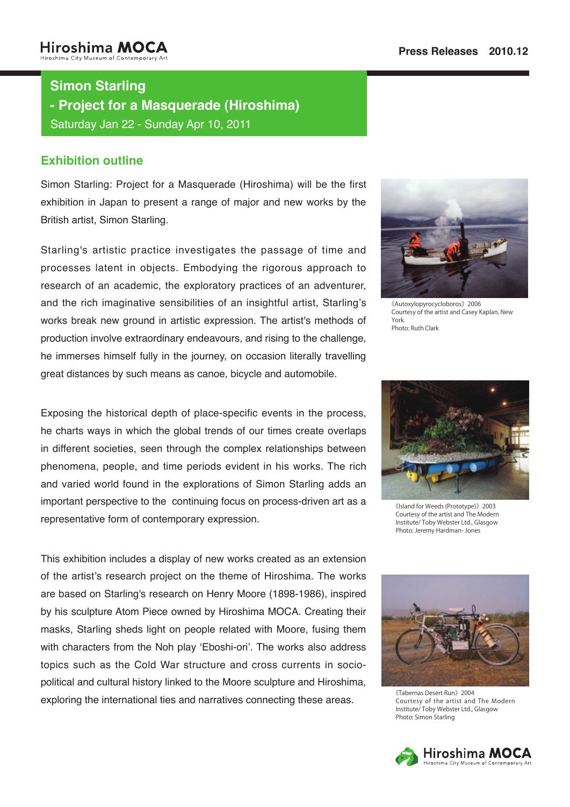# **Simon Starling**

**- Project for a Masquerade (Hiroshima)** 

Saturday Jan 22 - Sunday Apr 10, 2011

### **Exhibition outline**

Simon Starling: Project for a Masquerade (Hiroshima) will be the first exhibition in Japan to present a range of major and new works by the British artist, Simon Starling.

Starling's artistic practice investigates the passage of time and processes latent in objects. Embodying the rigorous approach to research of an academic, the exploratory practices of an adventurer, and the rich imaginative sensibilities of an insightful artist, Starling's works break new ground in artistic expression. The artist's methods of production involve extraordinary endeavours, and rising to the challenge, he immerses himself fully in the journey, on occasion literally travelling great distances by such means as canoe, bicycle and automobile.

Exposing the historical depth of place-specific events in the process, he charts ways in which the global trends of our times create overlaps in different societies, seen through the complex relationships between phenomena, people, and time periods evident in his works. The rich and varied world found in the explorations of Simon Starling adds an important perspective to the continuing focus on process-driven art as a representative form of contemporary expression.

This exhibition includes a display of new works created as an extension of the artist's research project on the theme of Hiroshima. The works are based on Starling's research on Henry Moore (1898-1986), inspired by his sculpture Atom Piece owned by Hiroshima MOCA. Creating their masks, Starling sheds light on people related with Moore, fusing them with characters from the Noh play 'Eboshi-ori'. The works also address political and cultural history linked to the Moore sculpture and Hiroshima, topics such as the Cold War structure and cross currents in socioexploring the international ties and narratives connecting these areas.



2006《Autoxylopyrocycloboros《 Courtesy of the artist and Casey Kaplan, New York. Photo: Ruth Clark



《Island for Weeds (Prototype)》2003 Courtesy of the artist and The Modern Institute/ Toby Webster Ltd., Glasgow Photo: Jeremy Hardman- Jones



《Tabernas Desert Run》2004 Courtesy of the artist and The Modern Institute/ Toby Webster Ltd., Glasgow Photo: Simon Starling